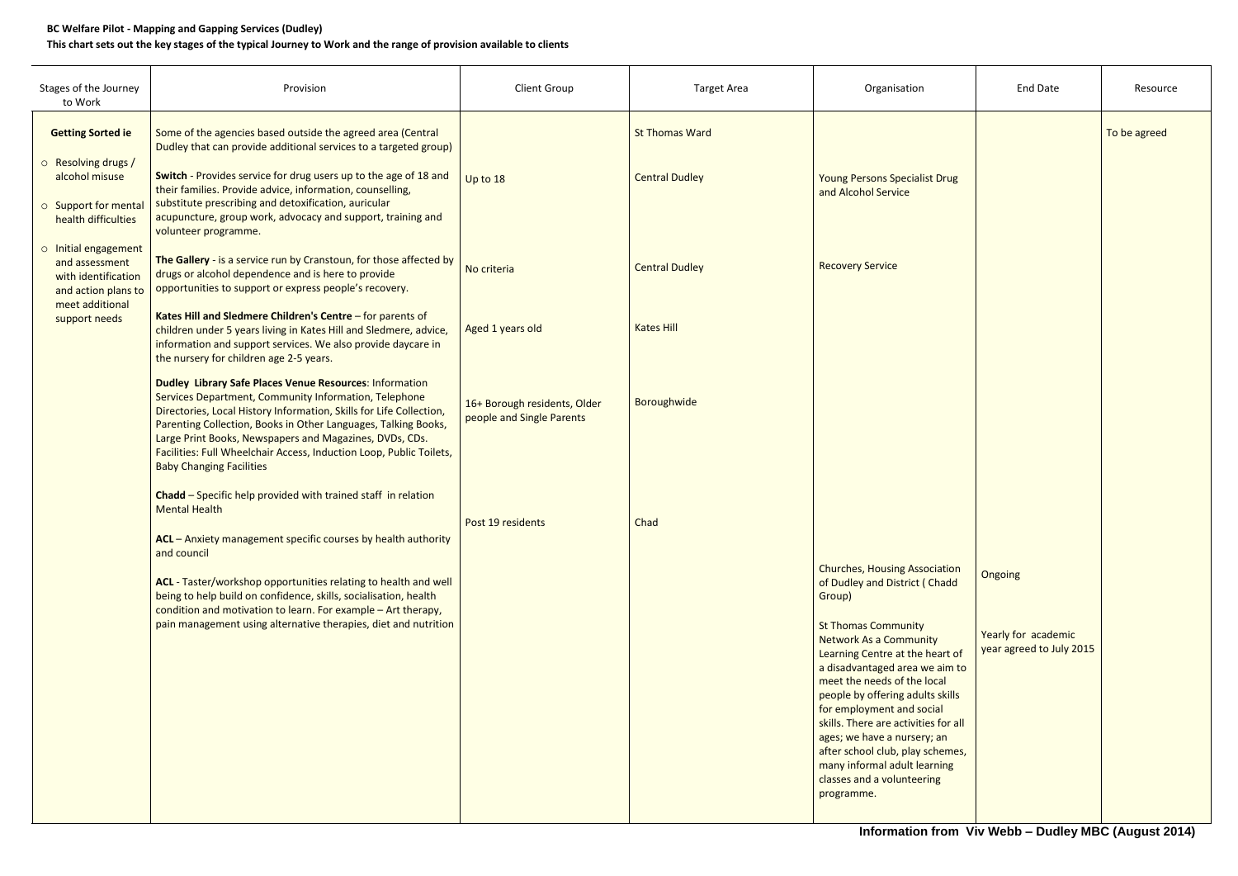## **BC Welfare Pilot - Mapping and Gapping Services (Dudley)**

## **This chart sets out the key stages of the typical Journey to Work and the range of provision available to clients**

| Stages of the Journey<br>to Work                                                                                         | Provision                                                                                                                                                                                                                                                                                                                                                                                                                                                                        | <b>Client Group</b>                                       | <b>Target Area</b>                             | Organisation                                                                                                                                                                                                                                                                                                                                                                                                                                                       | <b>End Date</b>                                            | Resource     |
|--------------------------------------------------------------------------------------------------------------------------|----------------------------------------------------------------------------------------------------------------------------------------------------------------------------------------------------------------------------------------------------------------------------------------------------------------------------------------------------------------------------------------------------------------------------------------------------------------------------------|-----------------------------------------------------------|------------------------------------------------|--------------------------------------------------------------------------------------------------------------------------------------------------------------------------------------------------------------------------------------------------------------------------------------------------------------------------------------------------------------------------------------------------------------------------------------------------------------------|------------------------------------------------------------|--------------|
| <b>Getting Sorted ie</b><br>o Resolving drugs /<br>alcohol misuse<br>o Support for mental<br>health difficulties         | Some of the agencies based outside the agreed area (Central<br>Dudley that can provide additional services to a targeted group)<br>Switch - Provides service for drug users up to the age of 18 and<br>their families. Provide advice, information, counselling,<br>substitute prescribing and detoxification, auricular<br>acupuncture, group work, advocacy and support, training and<br>volunteer programme.                                                                  | Up to 18                                                  | <b>St Thomas Ward</b><br><b>Central Dudley</b> | <b>Young Persons Specialist Drug</b><br>and Alcohol Service                                                                                                                                                                                                                                                                                                                                                                                                        |                                                            | To be agreed |
| o Initial engagement<br>and assessment<br>with identification<br>and action plans to<br>meet additional<br>support needs | The Gallery - is a service run by Cranstoun, for those affected by<br>drugs or alcohol dependence and is here to provide<br>opportunities to support or express people's recovery.<br>Kates Hill and Sledmere Children's Centre - for parents of<br>children under 5 years living in Kates Hill and Sledmere, advice,<br>information and support services. We also provide daycare in                                                                                            | No criteria<br>Aged 1 years old                           | <b>Central Dudley</b><br><b>Kates Hill</b>     | <b>Recovery Service</b>                                                                                                                                                                                                                                                                                                                                                                                                                                            |                                                            |              |
|                                                                                                                          | the nursery for children age 2-5 years.<br><b>Dudley Library Safe Places Venue Resources: Information</b><br>Services Department, Community Information, Telephone<br>Directories, Local History Information, Skills for Life Collection,<br>Parenting Collection, Books in Other Languages, Talking Books,<br>Large Print Books, Newspapers and Magazines, DVDs, CDs.<br>Facilities: Full Wheelchair Access, Induction Loop, Public Toilets,<br><b>Baby Changing Facilities</b> | 16+ Borough residents, Older<br>people and Single Parents | Boroughwide                                    |                                                                                                                                                                                                                                                                                                                                                                                                                                                                    |                                                            |              |
|                                                                                                                          | Chadd - Specific help provided with trained staff in relation<br><b>Mental Health</b><br>ACL - Anxiety management specific courses by health authority<br>and council                                                                                                                                                                                                                                                                                                            | Post 19 residents                                         | Chad                                           | <b>Churches, Housing Association</b>                                                                                                                                                                                                                                                                                                                                                                                                                               |                                                            |              |
|                                                                                                                          | ACL - Taster/workshop opportunities relating to health and well<br>being to help build on confidence, skills, socialisation, health<br>condition and motivation to learn. For example - Art therapy,<br>pain management using alternative therapies, diet and nutrition                                                                                                                                                                                                          |                                                           |                                                | of Dudley and District (Chadd<br>Group)<br><b>St Thomas Community</b><br><b>Network As a Community</b><br>Learning Centre at the heart of<br>a disadvantaged area we aim to<br>meet the needs of the local<br>people by offering adults skills<br>for employment and social<br>skills. There are activities for all<br>ages; we have a nursery; an<br>after school club, play schemes,<br>many informal adult learning<br>classes and a volunteering<br>programme. | Ongoing<br>Yearly for academic<br>year agreed to July 2015 |              |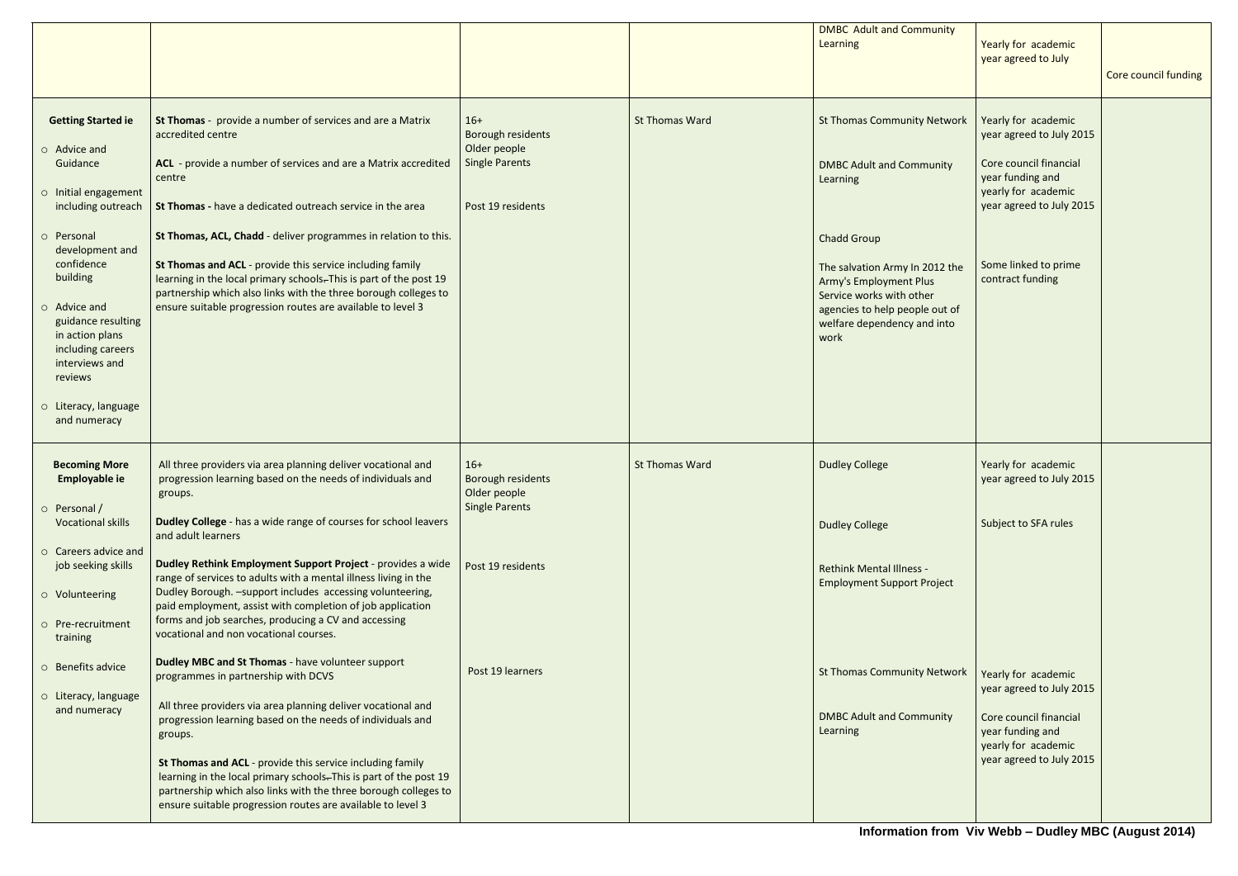|                                                                                                                                                                                                                                                                                                                   |                                                                                                                                                                                                                                                                                                                                                                                                                                                                                                                                                                |                                                                                          |                       | <b>DMBC Adult and Community</b><br><b>Learning</b>                                                                                                                                                                                                                              | Yearly for academic<br>year agreed to July                                                                                                                                                   | Core council funding |
|-------------------------------------------------------------------------------------------------------------------------------------------------------------------------------------------------------------------------------------------------------------------------------------------------------------------|----------------------------------------------------------------------------------------------------------------------------------------------------------------------------------------------------------------------------------------------------------------------------------------------------------------------------------------------------------------------------------------------------------------------------------------------------------------------------------------------------------------------------------------------------------------|------------------------------------------------------------------------------------------|-----------------------|---------------------------------------------------------------------------------------------------------------------------------------------------------------------------------------------------------------------------------------------------------------------------------|----------------------------------------------------------------------------------------------------------------------------------------------------------------------------------------------|----------------------|
| <b>Getting Started ie</b><br>o Advice and<br>Guidance<br>o Initial engagement<br>including outreach<br>o Personal<br>development and<br>confidence<br>building<br>o Advice and<br>guidance resulting<br>in action plans<br>including careers<br>interviews and<br>reviews<br>o Literacy, language<br>and numeracy | St Thomas - provide a number of services and are a Matrix<br>accredited centre<br>ACL - provide a number of services and are a Matrix accredited<br>centre<br>St Thomas - have a dedicated outreach service in the area<br>St Thomas, ACL, Chadd - deliver programmes in relation to this.<br>St Thomas and ACL - provide this service including family<br>learning in the local primary schools-This is part of the post 19<br>partnership which also links with the three borough colleges to<br>ensure suitable progression routes are available to level 3 | $16+$<br>Borough residents<br>Older people<br><b>Single Parents</b><br>Post 19 residents | <b>St Thomas Ward</b> | <b>St Thomas Community Network</b><br><b>DMBC Adult and Community</b><br>Learning<br><b>Chadd Group</b><br>The salvation Army In 2012 the<br><b>Army's Employment Plus</b><br>Service works with other<br>agencies to help people out of<br>welfare dependency and into<br>work | Yearly for academic<br>year agreed to July 2015<br>Core council financial<br>year funding and<br>yearly for academic<br>year agreed to July 2015<br>Some linked to prime<br>contract funding |                      |
| <b>Becoming More</b><br>Employable ie<br>$\circ$ Personal /<br><b>Vocational skills</b>                                                                                                                                                                                                                           | All three providers via area planning deliver vocational and<br>progression learning based on the needs of individuals and<br>groups.<br>Dudley College - has a wide range of courses for school leavers<br>and adult learners                                                                                                                                                                                                                                                                                                                                 | $16+$<br><b>Borough residents</b><br>Older people<br><b>Single Parents</b>               | <b>St Thomas Ward</b> | <b>Dudley College</b><br><b>Dudley College</b>                                                                                                                                                                                                                                  | Yearly for academic<br>year agreed to July 2015<br>Subject to SFA rules                                                                                                                      |                      |
| o Careers advice and<br>job seeking skills<br>o Volunteering<br>o Pre-recruitment<br>training                                                                                                                                                                                                                     | Dudley Rethink Employment Support Project - provides a wide<br>range of services to adults with a mental illness living in the<br>Dudley Borough. - support includes accessing volunteering,<br>paid employment, assist with completion of job application<br>forms and job searches, producing a CV and accessing<br>vocational and non vocational courses.                                                                                                                                                                                                   | Post 19 residents                                                                        |                       | <b>Rethink Mental Illness -</b><br><b>Employment Support Project</b>                                                                                                                                                                                                            |                                                                                                                                                                                              |                      |
| ○ Benefits advice<br>o Literacy, language<br>and numeracy                                                                                                                                                                                                                                                         | <b>Dudley MBC and St Thomas - have volunteer support</b><br>programmes in partnership with DCVS<br>All three providers via area planning deliver vocational and<br>progression learning based on the needs of individuals and<br>groups.<br>St Thomas and ACL - provide this service including family<br>learning in the local primary schools. This is part of the post 19<br>partnership which also links with the three borough colleges to<br>ensure suitable progression routes are available to level 3                                                  | Post 19 learners                                                                         |                       | <b>St Thomas Community Network</b><br><b>DMBC Adult and Community</b><br>Learning                                                                                                                                                                                               | Yearly for academic<br>year agreed to July 2015<br>Core council financial<br>year funding and<br>yearly for academic<br>year agreed to July 2015                                             |                      |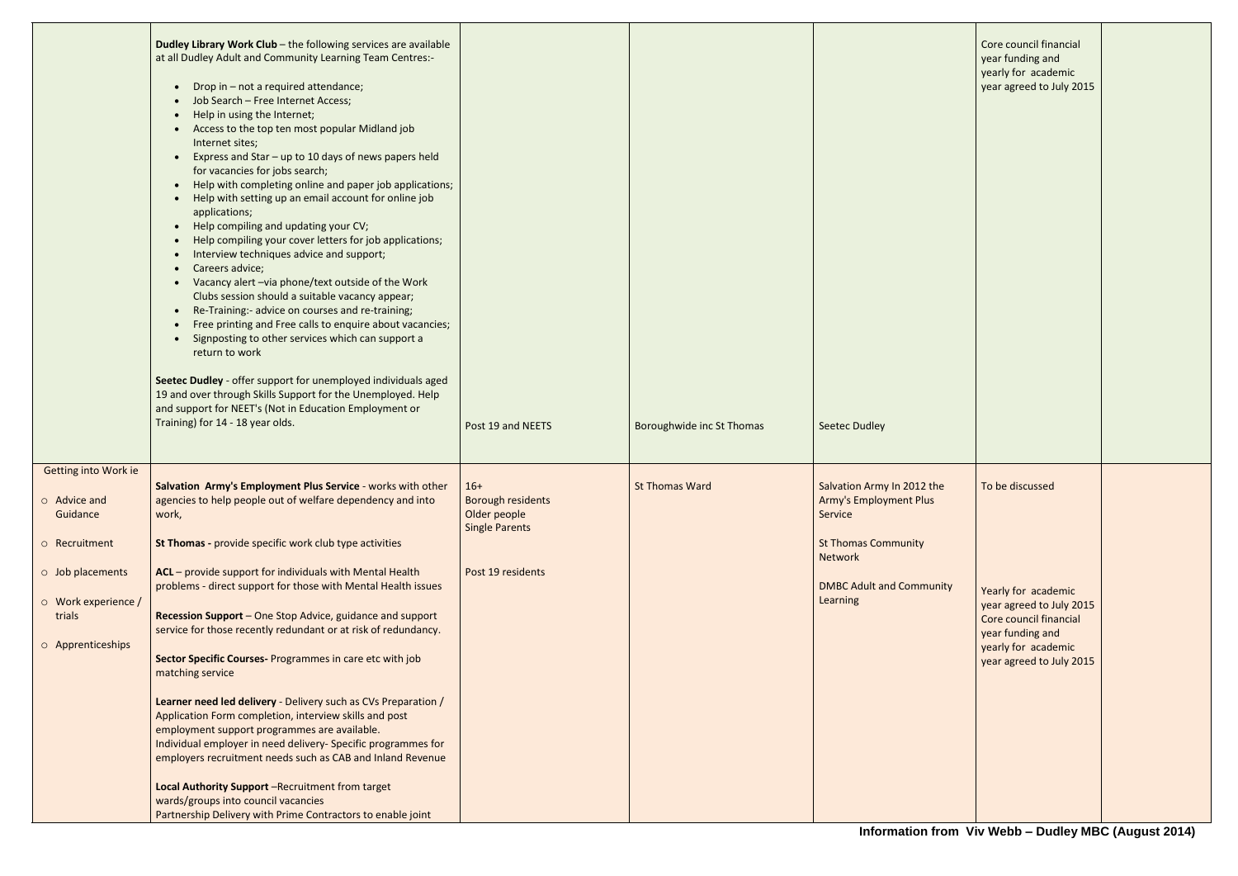|                                                                                                                                                                      | Dudley Library Work Club - the following services are available<br>at all Dudley Adult and Community Learning Team Centres:-<br>Drop in - not a required attendance;<br>$\bullet$<br>Job Search - Free Internet Access;<br>Help in using the Internet;<br>Access to the top ten most popular Midland job<br>Internet sites;<br>Express and Star - up to 10 days of news papers held<br>for vacancies for jobs search;<br>Help with completing online and paper job applications;<br>$\bullet$<br>Help with setting up an email account for online job<br>$\bullet$<br>applications;<br>Help compiling and updating your CV;<br>$\bullet$<br>Help compiling your cover letters for job applications;<br>Interview techniques advice and support;<br>$\bullet$<br>Careers advice;<br>$\bullet$<br>Vacancy alert - via phone/text outside of the Work<br>$\bullet$<br>Clubs session should a suitable vacancy appear;<br>Re-Training:- advice on courses and re-training;<br>$\bullet$<br>Free printing and Free calls to enquire about vacancies;<br>Signposting to other services which can support a<br>return to work<br>Seetec Dudley - offer support for unemployed individuals aged<br>19 and over through Skills Support for the Unemployed. Help<br>and support for NEET's (Not in Education Employment or<br>Training) for 14 - 18 year olds. | Post 19 and NEETS                                                                               | Boroughwide inc St Thomas | <b>Seetec Dudley</b>                                                                                                                                                  |
|----------------------------------------------------------------------------------------------------------------------------------------------------------------------|------------------------------------------------------------------------------------------------------------------------------------------------------------------------------------------------------------------------------------------------------------------------------------------------------------------------------------------------------------------------------------------------------------------------------------------------------------------------------------------------------------------------------------------------------------------------------------------------------------------------------------------------------------------------------------------------------------------------------------------------------------------------------------------------------------------------------------------------------------------------------------------------------------------------------------------------------------------------------------------------------------------------------------------------------------------------------------------------------------------------------------------------------------------------------------------------------------------------------------------------------------------------------------------------------------------------------------------------------|-------------------------------------------------------------------------------------------------|---------------------------|-----------------------------------------------------------------------------------------------------------------------------------------------------------------------|
| <b>Getting into Work ie</b><br>$\circ$ Advice and<br>Guidance<br>o Recruitment<br>$\circ$ Job placements<br>$\circ$ Work experience /<br>trials<br>O Apprenticeships | Salvation Army's Employment Plus Service - works with other<br>agencies to help people out of welfare dependency and into<br>work,<br>St Thomas - provide specific work club type activities<br>ACL - provide support for individuals with Mental Health<br>problems - direct support for those with Mental Health issues<br>Recession Support - One Stop Advice, guidance and support<br>service for those recently redundant or at risk of redundancy.<br>Sector Specific Courses- Programmes in care etc with job<br>matching service<br>Learner need led delivery - Delivery such as CVs Preparation /<br>Application Form completion, interview skills and post<br>employment support programmes are available.<br>Individual employer in need delivery- Specific programmes for<br>employers recruitment needs such as CAB and Inland Revenue<br>Local Authority Support -Recruitment from target<br>wards/groups into council vacancies<br>Partnership Delivery with Prime Contractors to enable joint                                                                                                                                                                                                                                                                                                                                        | $16+$<br><b>Borough residents</b><br>Older people<br><b>Single Parents</b><br>Post 19 residents | <b>St Thomas Ward</b>     | Salvation Army In 2012 the<br><b>Army's Employment Plus</b><br>Service<br><b>St Thomas Community</b><br><b>Network</b><br><b>DMBC Adult and Community</b><br>Learning |

| Core council financial<br>year funding and<br>yearly for academic<br>year agreed to July 2015                                                    |  |
|--------------------------------------------------------------------------------------------------------------------------------------------------|--|
| To be discussed                                                                                                                                  |  |
| Yearly for academic<br>year agreed to July 2015<br>Core council financial<br>year funding and<br>yearly for academic<br>year agreed to July 2015 |  |
|                                                                                                                                                  |  |